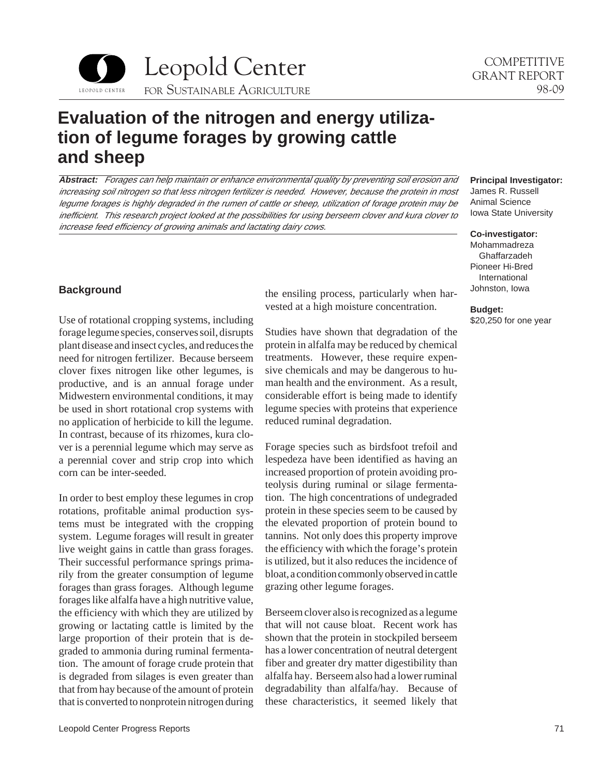

# **Evaluation of the nitrogen and energy utilization of legume forages by growing cattle and sheep**

**Abstract:** Forages can help maintain or enhance environmental quality by preventing soil erosion and increasing soil nitrogen so that less nitrogen fertilizer is needed. However, because the protein in most legume forages is highly degraded in the rumen of cattle or sheep, utilization of forage protein may be inefficient. This research project looked at the possibilities for using berseem clover and kura clover to increase feed efficiency of growing animals and lactating dairy cows.

### **Background**

Use of rotational cropping systems, including forage legume species, conserves soil, disrupts plant disease and insect cycles, and reduces the need for nitrogen fertilizer. Because berseem clover fixes nitrogen like other legumes, is productive, and is an annual forage under Midwestern environmental conditions, it may be used in short rotational crop systems with no application of herbicide to kill the legume. In contrast, because of its rhizomes, kura clover is a perennial legume which may serve as a perennial cover and strip crop into which corn can be inter-seeded.

In order to best employ these legumes in crop rotations, profitable animal production systems must be integrated with the cropping system. Legume forages will result in greater live weight gains in cattle than grass forages. Their successful performance springs primarily from the greater consumption of legume forages than grass forages. Although legume forages like alfalfa have a high nutritive value, the efficiency with which they are utilized by growing or lactating cattle is limited by the large proportion of their protein that is degraded to ammonia during ruminal fermentation. The amount of forage crude protein that is degraded from silages is even greater than that from hay because of the amount of protein that is converted to nonprotein nitrogen during the ensiling process, particularly when harvested at a high moisture concentration.

Studies have shown that degradation of the protein in alfalfa may be reduced by chemical treatments. However, these require expensive chemicals and may be dangerous to human health and the environment. As a result, considerable effort is being made to identify legume species with proteins that experience reduced ruminal degradation.

Forage species such as birdsfoot trefoil and lespedeza have been identified as having an increased proportion of protein avoiding proteolysis during ruminal or silage fermentation. The high concentrations of undegraded protein in these species seem to be caused by the elevated proportion of protein bound to tannins. Not only does this property improve the efficiency with which the forage's protein is utilized, but it also reduces the incidence of bloat, a condition commonly observed in cattle grazing other legume forages.

Berseem clover also is recognized as a legume that will not cause bloat. Recent work has shown that the protein in stockpiled berseem has a lower concentration of neutral detergent fiber and greater dry matter digestibility than alfalfa hay. Berseem also had a lower ruminal degradability than alfalfa/hay. Because of these characteristics, it seemed likely that

#### **Principal Investigator:**  James R. Russell

Animal Science Iowa State University

#### **Co-investigator:**

Mohammadreza Ghaffarzadeh Pioneer Hi-Bred International Johnston, Iowa

**Budget:**  \$20,250 for one year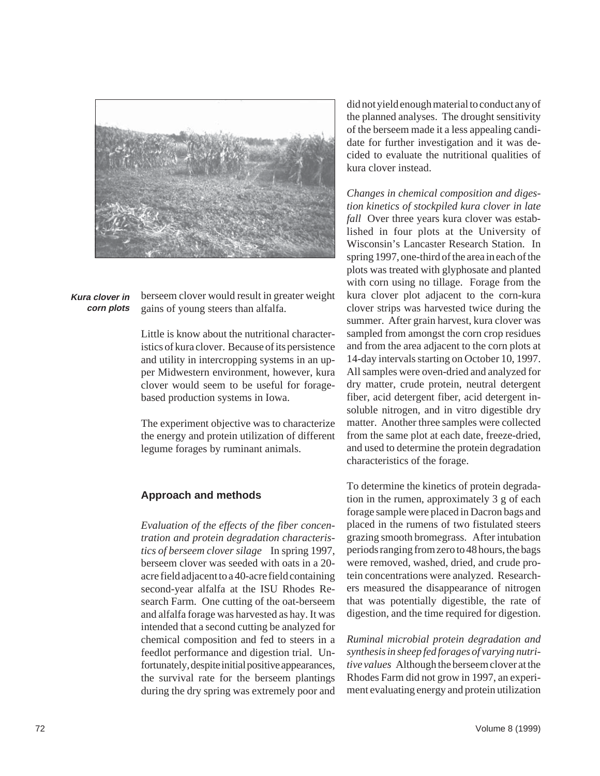

**Kura clover in corn plots** 

berseem clover would result in greater weight gains of young steers than alfalfa.

Little is know about the nutritional characteristics of kura clover. Because of its persistence and utility in intercropping systems in an upper Midwestern environment, however, kura clover would seem to be useful for foragebased production systems in Iowa.

The experiment objective was to characterize the energy and protein utilization of different legume forages by ruminant animals.

### **Approach and methods**

*Evaluation of the effects of the fiber concentration and protein degradation characteristics of berseem clover silage* In spring 1997, berseem clover was seeded with oats in a 20 acre field adjacent to a 40-acre field containing second-year alfalfa at the ISU Rhodes Research Farm. One cutting of the oat-berseem and alfalfa forage was harvested as hay. It was intended that a second cutting be analyzed for chemical composition and fed to steers in a feedlot performance and digestion trial. Unfortunately, despite initial positive appearances, the survival rate for the berseem plantings during the dry spring was extremely poor and did not yield enough material to conduct any of the planned analyses. The drought sensitivity of the berseem made it a less appealing candidate for further investigation and it was decided to evaluate the nutritional qualities of kura clover instead.

*Changes in chemical composition and digestion kinetics of stockpiled kura clover in late fall* Over three years kura clover was established in four plots at the University of Wisconsin's Lancaster Research Station. In spring 1997, one-third of the area in each of the plots was treated with glyphosate and planted with corn using no tillage. Forage from the kura clover plot adjacent to the corn-kura clover strips was harvested twice during the summer. After grain harvest, kura clover was sampled from amongst the corn crop residues and from the area adjacent to the corn plots at 14-day intervals starting on October 10, 1997. All samples were oven-dried and analyzed for dry matter, crude protein, neutral detergent fiber, acid detergent fiber, acid detergent insoluble nitrogen, and in vitro digestible dry matter. Another three samples were collected from the same plot at each date, freeze-dried, and used to determine the protein degradation characteristics of the forage.

To determine the kinetics of protein degradation in the rumen, approximately 3 g of each forage sample were placed in Dacron bags and placed in the rumens of two fistulated steers grazing smooth bromegrass. After intubation periods ranging from zero to 48 hours, the bags were removed, washed, dried, and crude protein concentrations were analyzed. Researchers measured the disappearance of nitrogen that was potentially digestible, the rate of digestion, and the time required for digestion.

*Ruminal microbial protein degradation and synthesis in sheep fed forages of varying nutritive values* Although the berseem clover at the Rhodes Farm did not grow in 1997, an experiment evaluating energy and protein utilization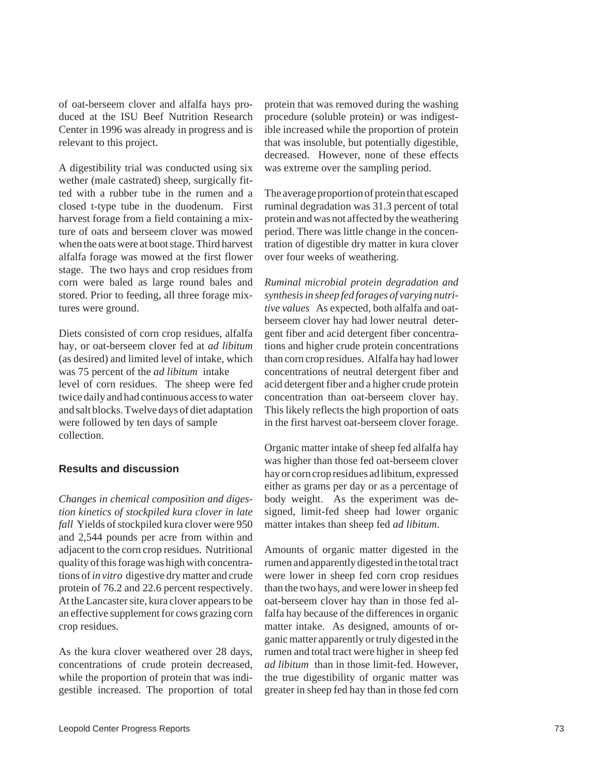of oat-berseem clover and alfalfa hays produced at the ISU Beef Nutrition Research Center in 1996 was already in progress and is relevant to this project.

A digestibility trial was conducted using six wether (male castrated) sheep, surgically fitted with a rubber tube in the rumen and a closed t-type tube in the duodenum. First harvest forage from a field containing a mixture of oats and berseem clover was mowed when the oats were at boot stage. Third harvest alfalfa forage was mowed at the first flower stage. The two hays and crop residues from corn were baled as large round bales and stored. Prior to feeding, all three forage mixtures were ground.

Diets consisted of corn crop residues, alfalfa hay, or oat-berseem clover fed at *ad libitum*  (as desired) and limited level of intake, which was 75 percent of the *ad libitum* intake level of corn residues. The sheep were fed twice daily and had continuous access to water and salt blocks. Twelve days of diet adaptation were followed by ten days of sample collection.

### **Results and discussion**

*Changes in chemical composition and digestion kinetics of stockpiled kura clover in late fall* Yields of stockpiled kura clover were 950 and 2,544 pounds per acre from within and adjacent to the corn crop residues. Nutritional quality of this forage was high with concentrations of *in vitro* digestive dry matter and crude protein of 76.2 and 22.6 percent respectively. At the Lancaster site, kura clover appears to be an effective supplement for cows grazing corn crop residues.

As the kura clover weathered over 28 days, concentrations of crude protein decreased, while the proportion of protein that was indigestible increased. The proportion of total protein that was removed during the washing procedure (soluble protein) or was indigestible increased while the proportion of protein that was insoluble, but potentially digestible, decreased. However, none of these effects was extreme over the sampling period.

The average proportion of protein that escaped ruminal degradation was 31.3 percent of total protein and was not affected by the weathering period. There was little change in the concentration of digestible dry matter in kura clover over four weeks of weathering.

*Ruminal microbial protein degradation and synthesis in sheep fed forages of varying nutritive values* As expected, both alfalfa and oatberseem clover hay had lower neutral detergent fiber and acid detergent fiber concentrations and higher crude protein concentrations than corn crop residues. Alfalfa hay had lower concentrations of neutral detergent fiber and acid detergent fiber and a higher crude protein concentration than oat-berseem clover hay. This likely reflects the high proportion of oats in the first harvest oat-berseem clover forage.

Organic matter intake of sheep fed alfalfa hay was higher than those fed oat-berseem clover hay or corn crop residues ad libitum, expressed either as grams per day or as a percentage of body weight. As the experiment was designed, limit-fed sheep had lower organic matter intakes than sheep fed *ad libitum*.

Amounts of organic matter digested in the rumen and apparently digested in the total tract were lower in sheep fed corn crop residues than the two hays, and were lower in sheep fed oat-berseem clover hay than in those fed alfalfa hay because of the differences in organic matter intake. As designed, amounts of organic matter apparently or truly digested in the rumen and total tract were higher in sheep fed *ad libitum* than in those limit-fed. However, the true digestibility of organic matter was greater in sheep fed hay than in those fed corn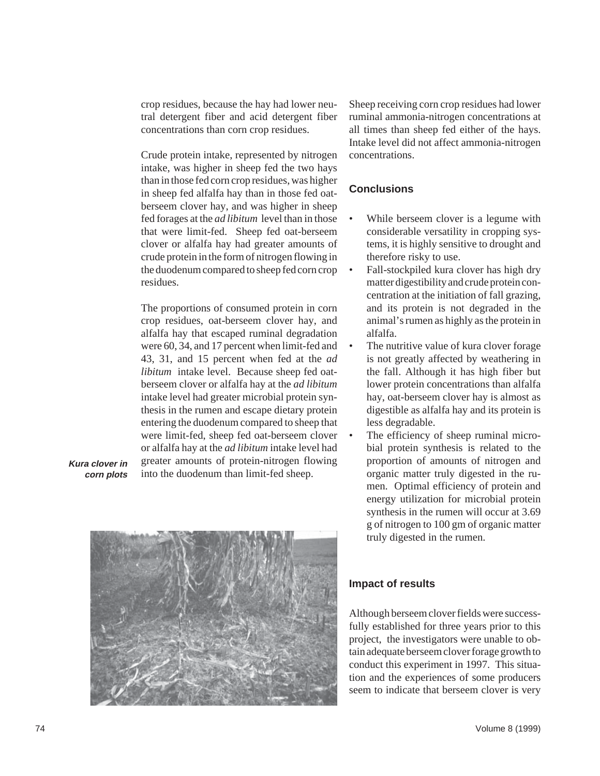crop residues, because the hay had lower neutral detergent fiber and acid detergent fiber concentrations than corn crop residues.

Crude protein intake, represented by nitrogen intake, was higher in sheep fed the two hays than in those fed corn crop residues, was higher in sheep fed alfalfa hay than in those fed oatberseem clover hay, and was higher in sheep fed forages at the *ad libitum* level than in those that were limit-fed. Sheep fed oat-berseem clover or alfalfa hay had greater amounts of crude protein in the form of nitrogen flowing in the duodenum compared to sheep fed corn crop residues.

The proportions of consumed protein in corn crop residues, oat-berseem clover hay, and alfalfa hay that escaped ruminal degradation were 60, 34, and 17 percent when limit-fed and 43, 31, and 15 percent when fed at the *ad libitum* intake level. Because sheep fed oatberseem clover or alfalfa hay at the *ad libitum*  intake level had greater microbial protein synthesis in the rumen and escape dietary protein entering the duodenum compared to sheep that were limit-fed, sheep fed oat-berseem clover or alfalfa hay at the *ad libitum* intake level had **Kura clover in** greater amounts of protein-nitrogen flowing **corn plots** into the duodenum than limit-fed sheep.



Sheep receiving corn crop residues had lower ruminal ammonia-nitrogen concentrations at all times than sheep fed either of the hays. Intake level did not affect ammonia-nitrogen concentrations.

## **Conclusions**

- While berseem clover is a legume with considerable versatility in cropping systems, it is highly sensitive to drought and therefore risky to use.
- Fall-stockpiled kura clover has high dry matter digestibility and crude protein concentration at the initiation of fall grazing, and its protein is not degraded in the animal's rumen as highly as the protein in alfalfa.
- The nutritive value of kura clover forage is not greatly affected by weathering in the fall. Although it has high fiber but lower protein concentrations than alfalfa hay, oat-berseem clover hay is almost as digestible as alfalfa hay and its protein is less degradable.
	- The efficiency of sheep ruminal microbial protein synthesis is related to the proportion of amounts of nitrogen and organic matter truly digested in the rumen. Optimal efficiency of protein and energy utilization for microbial protein synthesis in the rumen will occur at 3.69 g of nitrogen to 100 gm of organic matter truly digested in the rumen.

### **Impact of results**

Although berseem clover fields were successfully established for three years prior to this project, the investigators were unable to obtain adequate berseem clover forage growth to conduct this experiment in 1997. This situation and the experiences of some producers seem to indicate that berseem clover is very